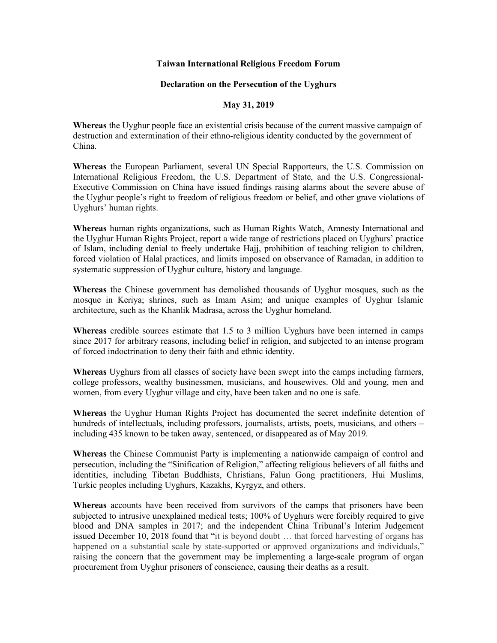## **Taiwan International Religious Freedom Forum**

## **Declaration on the Persecution of the Uyghurs**

## **May 31, 2019**

**Whereas** the Uyghur people face an existential crisis because of the current massive campaign of destruction and extermination of their ethno-religious identity conducted by the government of China.

**Whereas** the European Parliament, several UN Special Rapporteurs, the U.S. Commission on International Religious Freedom, the U.S. Department of State, and the U.S. Congressional-Executive Commission on China have issued findings raising alarms about the severe abuse of the Uyghur people's right to freedom of religious freedom or belief, and other grave violations of Uyghurs' human rights.

**Whereas** human rights organizations, such as Human Rights Watch, Amnesty International and the Uyghur Human Rights Project, report a wide range of restrictions placed on Uyghurs' practice of Islam, including denial to freely undertake Hajj, prohibition of teaching religion to children, forced violation of Halal practices, and limits imposed on observance of Ramadan, in addition to systematic suppression of Uyghur culture, history and language.

**Whereas** the Chinese government has demolished thousands of Uyghur mosques, such as the mosque in Keriya; shrines, such as Imam Asim; and unique examples of Uyghur Islamic architecture, such as the Khanlik Madrasa, across the Uyghur homeland.

**Whereas** credible sources estimate that 1.5 to 3 million Uyghurs have been interned in camps since 2017 for arbitrary reasons, including belief in religion, and subjected to an intense program of forced indoctrination to deny their faith and ethnic identity.

**Whereas** Uyghurs from all classes of society have been swept into the camps including farmers, college professors, wealthy businessmen, musicians, and housewives. Old and young, men and women, from every Uyghur village and city, have been taken and no one is safe.

**Whereas** the Uyghur Human Rights Project has documented the secret indefinite detention of hundreds of intellectuals, including professors, journalists, artists, poets, musicians, and others – including 435 known to be taken away, sentenced, or disappeared as of May 2019.

**Whereas** the Chinese Communist Party is implementing a nationwide campaign of control and persecution, including the "Sinification of Religion," affecting religious believers of all faiths and identities, including Tibetan Buddhists, Christians, Falun Gong practitioners, Hui Muslims, Turkic peoples including Uyghurs, Kazakhs, Kyrgyz, and others.

**Whereas** accounts have been received from survivors of the camps that prisoners have been subjected to intrusive unexplained medical tests; 100% of Uyghurs were forcibly required to give blood and DNA samples in 2017; and the independent China Tribunal's Interim Judgement issued December 10, 2018 found that "it is beyond doubt … that forced harvesting of organs has happened on a substantial scale by state-supported or approved organizations and individuals," raising the concern that the government may be implementing a large-scale program of organ procurement from Uyghur prisoners of conscience, causing their deaths as a result.